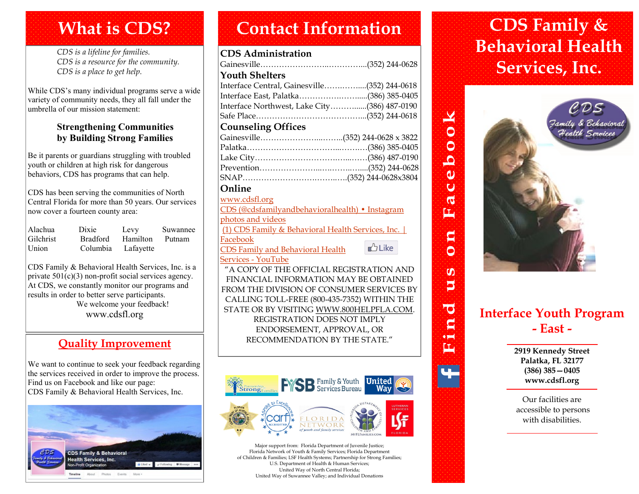# **What is CDS?**

*CDS is a lifeline for families. CDS is a resource for the community. CDS is a place to get help.*

While CDS's many individual programs serve a wide variety of community needs, they all fall under the umbrella of our mission statement:

#### **Strengthening Communities by Building Strong Families**

Be it parents or guardians struggling with troubled youth or children at high risk for dangerous behaviors, CDS has programs that can help.

CDS has been serving the communities of North Central Florida for more than 50 years. Our services now cover a fourteen county area:

| Alachua   | Dixie           | Levy      | Suwannee |
|-----------|-----------------|-----------|----------|
| Gilchrist | <b>Bradford</b> | Hamilton  | Putnam   |
| Union     | Columbia        | Lafayette |          |

CDS Family & Behavioral Health Services, Inc. is a private 501(c)(3) non-profit social services agency. At CDS, we constantly monitor our programs and results in order to better serve participants. We welcome your feedback! www.cdsfl.org

## **Quality Improvement**

We want to continue to seek your feedback regarding the services received in order to improve the process. Find us on Facebook and like our page: CDS Family & Behavioral Health Services, Inc.



# **Contact Information CDS Family &**

#### **CDS Administration**

| <b>Youth Shelters</b>                                                                                 |  |
|-------------------------------------------------------------------------------------------------------|--|
| Interface Central, Gainesville(352) 244-0618                                                          |  |
| Interface East, Palatka(386) 385-0405                                                                 |  |
| Interface Northwest, Lake City(386) 487-0190                                                          |  |
|                                                                                                       |  |
| <b>Counseling Offices</b>                                                                             |  |
|                                                                                                       |  |
|                                                                                                       |  |
|                                                                                                       |  |
|                                                                                                       |  |
|                                                                                                       |  |
| Online                                                                                                |  |
| www.cdsfl.org                                                                                         |  |
| $C\Gamma C \left( \odot 10^{-11} \right)$ 11 1 $\left( \cdot \right)$ 11 14 $\left( \cdot \right)$ 14 |  |

| CDS (@cdsfamilyandbehavioralhealth) • Instagram   |          |
|---------------------------------------------------|----------|
| photos and videos                                 |          |
| (1) CDS Family & Behavioral Health Services, Inc. |          |
| Facebook                                          |          |
| <b>CDS Family and Behavioral Health</b>           | $b$ Like |
|                                                   |          |

#### [Services -](https://www.youtube.com/channel/UCQHtxshi6U3T1YheFQimrsA) YouTube

"A COPY OF THE OFFICIAL REGISTRATION AND FINANCIAL INFORMATION MAY BE OBTAINED FROM THE DIVISION OF CONSUMER SERVICES BY CALLING TOLL-FREE (800-435-7352) WITHIN THE STATE OR BY VISITING WWW.800HELPFLA.COM. REGISTRATION DOES NOT IMPLY ENDORSEMENT, APPROVAL, OR RECOMMENDATION BY THE STATE."



Major support from: Florida Department of Juvenile Justice; Florida Network of Youth & Family Services; Florida Department of Children & Families; LSF Health Systems; Partnership for Strong Families; U.S. Department of Health & Human Services; United Way of North Central Florida; United Way of Suwannee Valley; and Individual Donations

# **Behavioral Health Services, Inc.**



 $\bullet$ 

 $\tilde{\mathbf{O}}$ 

坕

 $\overline{\bullet}$  $\mathbf{C}$ **OHI** 軍

# **Interface Youth Program - East -**

**2919 Kennedy Street Palatka, FL 32177 (386) 385—0405 www.cdsfl.org**

Our facilities are accessible to persons with disabilities.